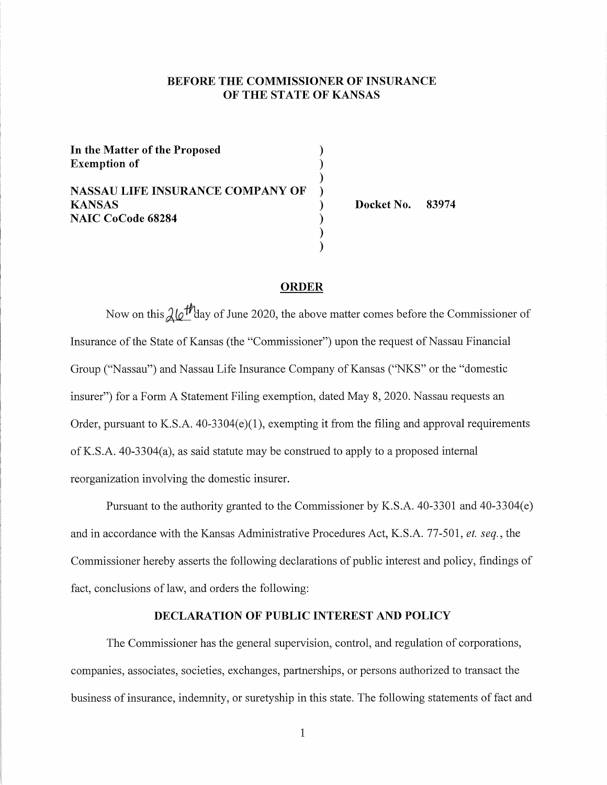## **BEFORE THE COMMISSIONER OF INSURANCE OF THE STATE OF KANSAS**

**In the Matter of the Proposed** ) **Exemption of** ) ) **NASSAU LIFE INSURANCE COMPANY OF** ) **KANSAS** ) **NAIC CoCode 68284** ) )

**Docket No. 83974** 

#### **ORDER**

)

Now on this  $\lambda/\sqrt{m}$  day of June 2020, the above matter comes before the Commissioner of Insurance of the State of Kansas (the "Commissioner") upon the request of Nassau Financial Group ("Nassau") and Nassau Life Insurance Company of Kansas ("NKS" or the "domestic insurer") for a Form A Statement Filing exemption, dated May 8, 2020. Nassau requests an Order, pursuant to K.S.A.  $40-3304(e)(1)$ , exempting it from the filing and approval requirements of K.S.A. 40-3304(a), as said statute may be construed to apply to a proposed internal reorganization involving the domestic insurer.

Pursuant to the authority granted to the Commissioner by K.S.A. 40-3301 and 40-3304(e) and in accordance with the Kansas Administrative Procedures Act, K.S.A. 77-501, *et. seq.,* the Commissioner hereby asserts the following declarations of public interest and policy, findings of fact, conclusions of law, and orders the following:

#### **DECLARATION OF PUBLIC INTEREST AND POLICY**

The Commissioner has the general supervision, control, and regulation of corporations, companies, associates, societies, exchanges, partnerships, or persons authorized to transact the business of insurance, indemnity, or suretyship in this state. The following statements of fact and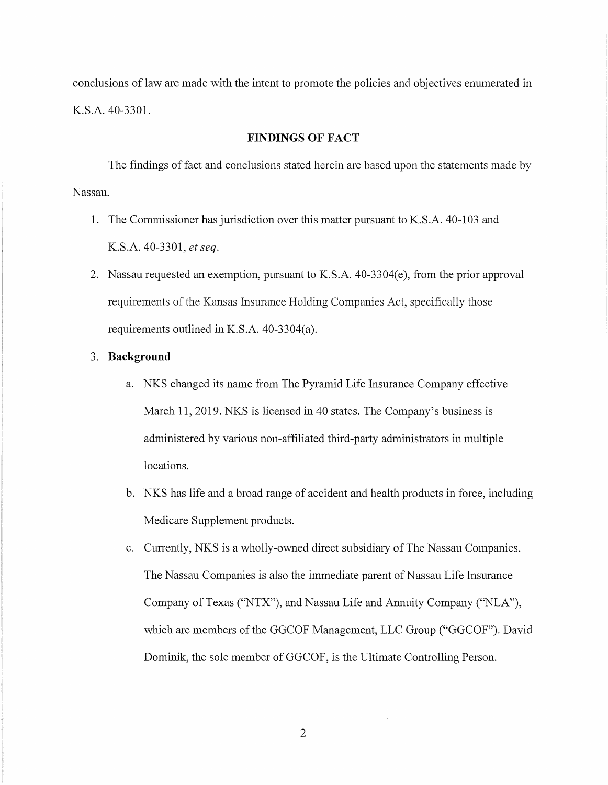conclusions of law are made with the intent to promote the policies and objectives enumerated in K.S.A. 40-3301.

#### **FINDINGS OF FACT**

The findings of fact and conclusions stated herein are based upon the statements made by Nassau.

- 1. The Commissioner has jurisdiction over this matter pursuant to K.S.A. 40-103 and K.S.A. 40-3301, *et seq.*
- 2. Nassau requested an exemption, pursuant to K.S.A. 40-3304(e), from the prior approval requirements of the Kansas Insurance Holding Companies Act, specifically those requirements outlined in K.S.A. 40-3304(a).
- 3. **Background** 
	- a. NKS changed its name from The Pyramid Life Insurance Company effective March 11, 2019. NKS is licensed in 40 states. The Company's business is administered by various non-affiliated third-party administrators in multiple locations.
	- b. NKS has life and a broad range of accident and health products in force, including Medicare Supplement products.
	- c. Currently, NKS is a wholly-owned direct subsidiary of The Nassau Companies. The Nassau Companies is also the immediate parent of Nassau Life Insurance Company of Texas ("NTX"), and Nassau Life and Annuity Company ("NLA"), which are members of the GGCOF Management, LLC Group ("GGCOF"). David Dominik, the sole member of GGCOF, is the Ultimate Controlling Person.

2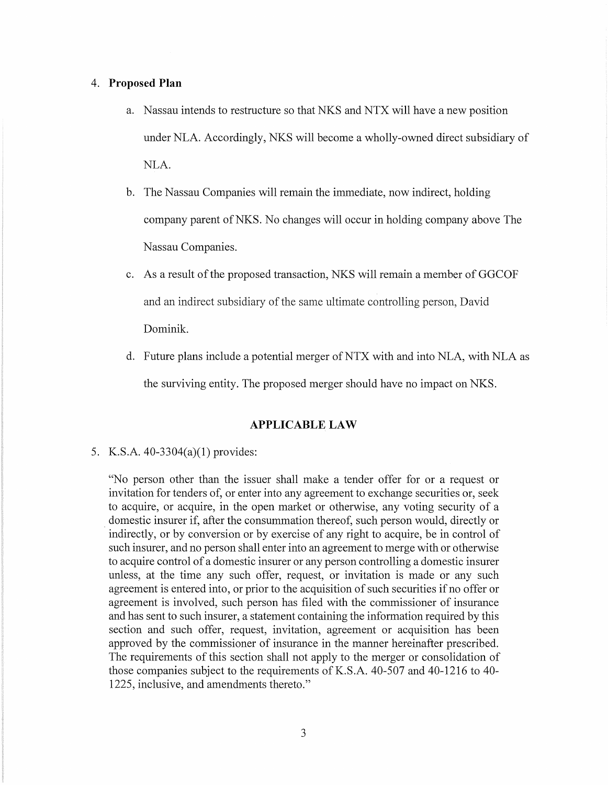#### 4. **Proposed Plan**

- a. Nassau intends to restructure so that NKS and NTX will have a new position under NLA. Accordingly, NKS will become a wholly-owned direct subsidiary of NLA.
- b. The Nassau Companies will remain the immediate, now indirect, holding company parent ofNKS. No changes will occur in holding company above The Nassau Companies.
- c. As a result of the proposed transaction, NKS will remain a member of GGCOF and an indirect subsidiary of the same ultimate controlling person, David Dominik.
- d. Future plans include a potential merger of NTX with and into NLA, with NLA as the surviving entity. The proposed merger should have no impact on NKS.

# **APPLICABLE LAW**

## 5. K.S.A. 40-3304(a)(l) provides:

"No person other than the issuer shall make a tender offer for or a request or invitation for tenders of, or enter into any agreement to exchange securities or, seek to acquire, or acquire, in the open market or otherwise, any voting security of a domestic insurer if, after the consummation thereof, such person would, directly or indirectly, or by conversion or by exercise of any right to acquire, be in control of such insurer, and no person shall enter into an agreement to merge with or otherwise to acquire control of a domestic insurer or any person controlling a domestic insurer unless, at the time any such offer, request, or invitation is made or any such agreement is entered into, or prior to the acquisition of such securities if no offer or agreement is involved, such person has filed with the commissioner of insurance and has sent to such insurer, a statement containing the information required by this section and such offer, request, invitation, agreement or acquisition has been approved by the commissioner of insurance in the manner hereinafter prescribed. The requirements of this section shall not apply to the merger or consolidation of those companies subject to the requirements of K.S.A. 40-507 and 40-1216 to 40- 1225, inclusive, and amendments thereto."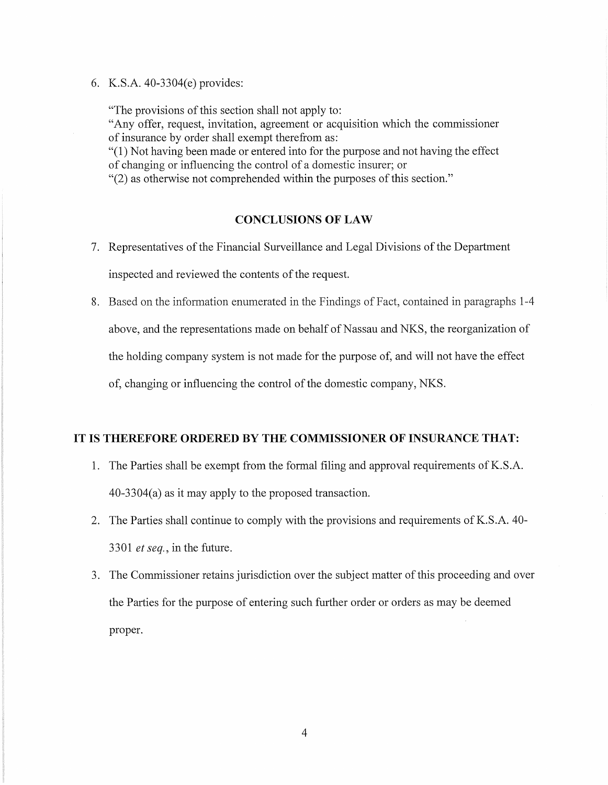6. K.S.A. 40-3304(e) provides:

"The provisions of this section shall not apply to: "Any offer, request, invitation, agreement or acquisition which the commissioner of insurance by order shall exempt therefrom as: "(1) Not having been made or entered into for the purpose and not having the effect of changing or influencing the control of a domestic insurer; or "(2) as otherwise not comprehended within the purposes of this section."

## **CONCLUSIONS OF LAW**

- 7. Representatives of the Financial Surveillance and Legal Divisions of the Department inspected and reviewed the contents of the request.
- 8. Based on the information enumerated in the Findings of Fact, contained in paragraphs 1-4 above, and the representations made on behalf of Nassau and NKS, the reorganization of the holding company system is not made for the purpose of, and will not have the effect of, changing or influencing the control of the domestic company, NKS.

## **IT IS THEREFORE ORDERED BY THE COMMISSIONER OF INSURANCE THAT:**

- 1. The Parties shall be exempt from the formal filing and approval requirements of K.S.A. 40-3304(a) as it may apply to the proposed transaction.
- 2. The Parties shall continue to comply with the provisions and requirements of K.S.A. 40-3301 *et seq.,* in the future.
- 3. The Commissioner retains jurisdiction over the subject matter of this proceeding and over the Parties for the purpose of entering such further order or orders as may be deemed proper.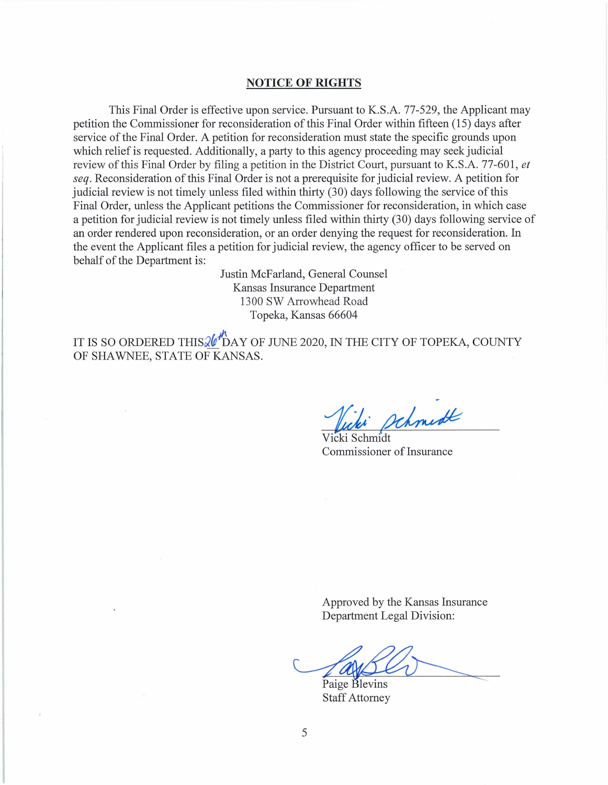### **NOTICE OF RIGHTS**

This Final Order is effective upon service. Pursuant to K.S.A. 77-529, the Applicant may petition the Commissioner for reconsideration of this Final Order within fifteen (15) days after service of the Final Order. A petition for reconsideration must state the specific grounds upon which relief is requested. Additionally, a party to this agency proceeding may seek judicial review of this Final Order by filing a petition in the District Court, pursuant to K.S.A. 77-601 , *et seq.* Reconsideration of this Final Order is not a prerequisite for judicial review. A petition for judicial review is not timely unless filed within thirty (30) days following the service of this Final Order, unless the Applicant petitions the Commissioner for reconsideration, in which case a petition for judicial review is not timely unless filed within thirty (30) days following service of an order rendered upon reconsideration, or an order denying the request for reconsideration. In the event the Applicant files a petition for judicial review, the agency officer to be served on behalf of the Department is:

> Justin McFarland, General Counsel Kansas Insurance Department 1300 SW Arrowhead Road Topeka, Kansas 66604

IT IS SO ORDERED THIS $\mathcal{U}^{h}$ DAY OF JUNE 2020, IN THE CITY OF TOPEKA, COUNTY OF SHAWNEE, STATE OF KANSAS.

Vicki<br>Vicki Schmidt<br>Commissioner schmidt

1 Commissioner of Insurance

Approved by the Kansas Insurance Department Legal Division:

Paige Blevins Staff Attorney